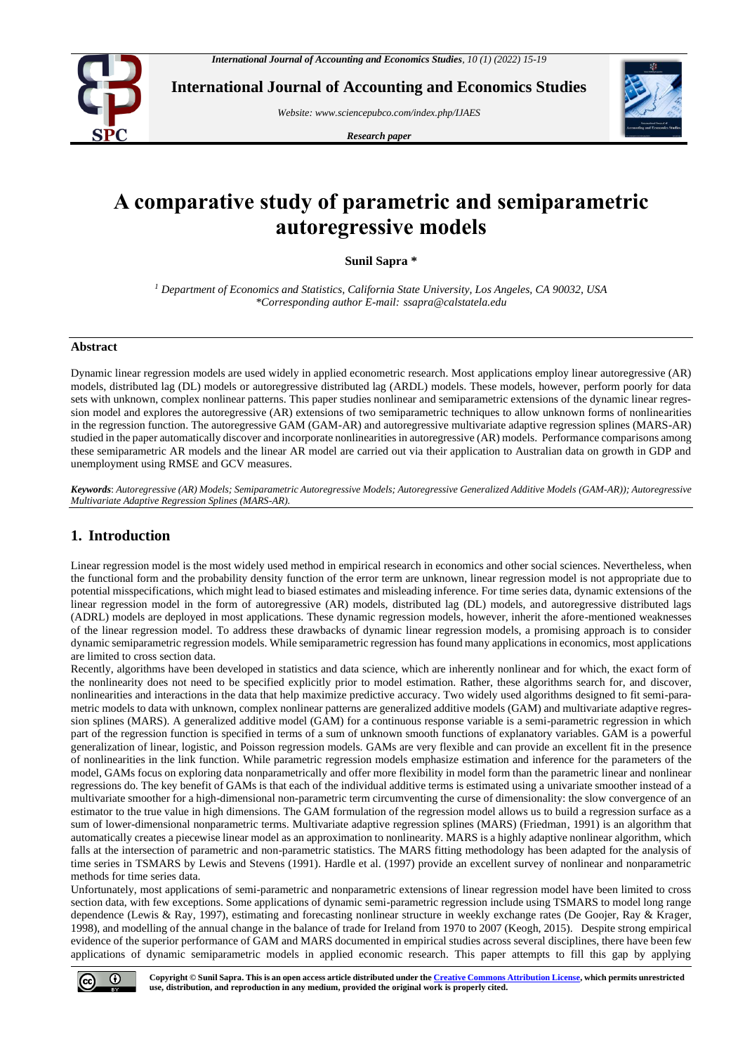

**International Journal of Accounting and Economics Studies**

*Website[: www.sciencepubco.com/index.php/IJAES](http://www.sciencepubco.com/index.php/IJAES)*

*Research paper*



# **A comparative study of parametric and semiparametric autoregressive models**

**Sunil Sapra \***

*<sup>1</sup> Department of Economics and Statistics, California State University, Los Angeles, CA 90032, USA \*Corresponding author E-mail: ssapra@calstatela.edu*

#### **Abstract**

Dynamic linear regression models are used widely in applied econometric research. Most applications employ linear autoregressive (AR) models, distributed lag (DL) models or autoregressive distributed lag (ARDL) models. These models, however, perform poorly for data sets with unknown, complex nonlinear patterns. This paper studies nonlinear and semiparametric extensions of the dynamic linear regression model and explores the autoregressive (AR) extensions of two semiparametric techniques to allow unknown forms of nonlinearities in the regression function. The autoregressive GAM (GAM-AR) and autoregressive multivariate adaptive regression splines (MARS-AR) studied in the paper automatically discover and incorporate nonlinearities in autoregressive (AR) models. Performance comparisons among these semiparametric AR models and the linear AR model are carried out via their application to Australian data on growth in GDP and unemployment using RMSE and GCV measures.

*Keywords*: *Autoregressive (AR) Models; Semiparametric Autoregressive Models; Autoregressive Generalized Additive Models (GAM-AR)); Autoregressive Multivariate Adaptive Regression Splines (MARS-AR).*

# **1. Introduction**

Linear regression model is the most widely used method in empirical research in economics and other social sciences. Nevertheless, when the functional form and the probability density function of the error term are unknown, linear regression model is not appropriate due to potential misspecifications, which might lead to biased estimates and misleading inference. For time series data, dynamic extensions of the linear regression model in the form of autoregressive (AR) models, distributed lag (DL) models, and autoregressive distributed lags (ADRL) models are deployed in most applications. These dynamic regression models, however, inherit the afore-mentioned weaknesses of the linear regression model. To address these drawbacks of dynamic linear regression models, a promising approach is to consider dynamic semiparametric regression models. While semiparametric regression has found many applications in economics, most applications are limited to cross section data.

Recently, algorithms have been developed in statistics and data science, which are inherently nonlinear and for which, the exact form of the nonlinearity does not need to be specified explicitly prior to model estimation. Rather, these algorithms search for, and discover, nonlinearities and interactions in the data that help maximize predictive accuracy. Two widely used algorithms designed to fit semi-parametric models to data with unknown, complex nonlinear patterns are generalized additive models (GAM) and multivariate adaptive regression splines (MARS). A generalized additive model (GAM) for a continuous response variable is a semi-parametric regression in which part of the regression function is specified in terms of a sum of unknown smooth functions of explanatory variables. GAM is a powerful generalization of linear, logistic, and Poisson regression models. GAMs are very flexible and can provide an excellent fit in the presence of nonlinearities in the link function. While parametric regression models emphasize estimation and inference for the parameters of the model, GAMs focus on exploring data nonparametrically and offer more flexibility in model form than the parametric linear and nonlinear regressions do. The key benefit of GAMs is that each of the individual additive terms is estimated using a univariate smoother instead of a multivariate smoother for a high-dimensional non-parametric term circumventing the curse of dimensionality: the slow convergence of an estimator to the true value in high dimensions. The GAM formulation of the regression model allows us to build a regression surface as a sum of lower-dimensional nonparametric terms. Multivariate adaptive regression splines (MARS) (Friedman, 1991) is an algorithm that automatically creates a piecewise linear model as an approximation to nonlinearity. MARS is a highly adaptive nonlinear algorithm, which falls at the intersection of parametric and non-parametric statistics. The MARS fitting methodology has been adapted for the analysis of time series in TSMARS by Lewis and Stevens (1991). Hardle et al. (1997) provide an excellent survey of nonlinear and nonparametric methods for time series data.

Unfortunately, most applications of semi-parametric and nonparametric extensions of linear regression model have been limited to cross section data, with few exceptions. Some applications of dynamic semi-parametric regression include using TSMARS to model long range dependence (Lewis & Ray, 1997), estimating and forecasting nonlinear structure in weekly exchange rates (De Goojer, Ray & Krager, 1998), and modelling of the annual change in the balance of trade for Ireland from 1970 to 2007 (Keogh, 2015). Despite strong empirical evidence of the superior performance of GAM and MARS documented in empirical studies across several disciplines, there have been few applications of dynamic semiparametric models in applied economic research. This paper attempts to fill this gap by applying

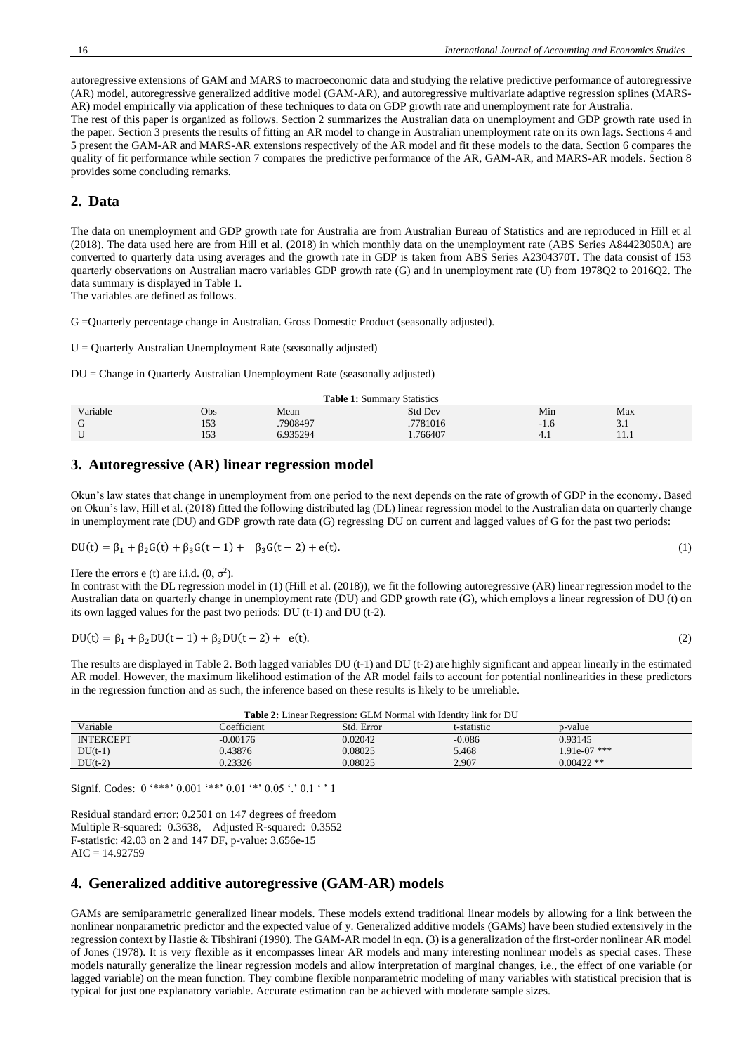autoregressive extensions of GAM and MARS to macroeconomic data and studying the relative predictive performance of autoregressive (AR) model, autoregressive generalized additive model (GAM-AR), and autoregressive multivariate adaptive regression splines (MARS-AR) model empirically via application of these techniques to data on GDP growth rate and unemployment rate for Australia.

The rest of this paper is organized as follows. Section 2 summarizes the Australian data on unemployment and GDP growth rate used in the paper. Section 3 presents the results of fitting an AR model to change in Australian unemployment rate on its own lags. Sections 4 and 5 present the GAM-AR and MARS-AR extensions respectively of the AR model and fit these models to the data. Section 6 compares the quality of fit performance while section 7 compares the predictive performance of the AR, GAM-AR, and MARS-AR models. Section 8 provides some concluding remarks.

## **2. Data**

The data on unemployment and GDP growth rate for Australia are from Australian Bureau of Statistics and are reproduced in Hill et al (2018). The data used here are from Hill et al. (2018) in which monthly data on the unemployment rate (ABS Series A84423050A) are converted to quarterly data using averages and the growth rate in GDP is taken from ABS Series A2304370T. The data consist of 153 quarterly observations on Australian macro variables GDP growth rate (G) and in unemployment rate (U) from 1978Q2 to 2016Q2. The data summary is displayed in Table 1.

The variables are defined as follows.

G =Quarterly percentage change in Australian. Gross Domestic Product (seasonally adjusted).

U = Quarterly Australian Unemployment Rate (seasonally adjusted)

DU = Change in Quarterly Australian Unemployment Rate (seasonally adjusted)

| <b>Table 1:</b> Summary Statistics |     |          |          |     |             |  |
|------------------------------------|-----|----------|----------|-----|-------------|--|
| Variable                           | Obs | Mean     | Std Dev  | Min | Max         |  |
|                                    | 153 | .7908497 | .7781016 | 1.U | $J \cdot I$ |  |
|                                    | 153 | 6.935294 | 1.766407 | T.J | .           |  |
|                                    |     |          |          |     |             |  |

## **3. Autoregressive (AR) linear regression model**

Okun's law states that change in unemployment from one period to the next depends on the rate of growth of GDP in the economy. Based on Okun's law, Hill et al. (2018) fitted the following distributed lag (DL) linear regression model to the Australian data on quarterly change in unemployment rate (DU) and GDP growth rate data (G) regressing DU on current and lagged values of G for the past two periods:

$$
DU(t) = \beta_1 + \beta_2 G(t) + \beta_3 G(t-1) + \beta_3 G(t-2) + e(t).
$$
\n(1)

Here the errors e (t) are i.i.d.  $(0, \sigma^2)$ .

In contrast with the DL regression model in (1) (Hill et al. (2018)), we fit the following autoregressive (AR) linear regression model to the Australian data on quarterly change in unemployment rate (DU) and GDP growth rate (G), which employs a linear regression of DU (t) on its own lagged values for the past two periods: DU (t-1) and DU (t-2).

$$
DU(t) = \beta_1 + \beta_2 DU(t-1) + \beta_3 DU(t-2) + e(t).
$$
 (2)

The results are displayed in Table 2. Both lagged variables DU (t-1) and DU (t-2) are highly significant and appear linearly in the estimated AR model. However, the maximum likelihood estimation of the AR model fails to account for potential nonlinearities in these predictors in the regression function and as such, the inference based on these results is likely to be unreliable.

| <b>Table 2:</b> Linear Regression: GLM Normal with Identity link for DU |             |            |             |                |  |
|-------------------------------------------------------------------------|-------------|------------|-------------|----------------|--|
| Variable                                                                | Coefficient | Std. Error | t-statistic | p-value        |  |
| <b>INTERCEPT</b>                                                        | $-0.00176$  | 0.02042    | $-0.086$    | 0.93145        |  |
| $DU(t-1)$                                                               | 0.43876     | 0.08025    | 5.468       | $1.91e-07$ *** |  |
| $DU(t-2)$                                                               | 0.23326     | 0.08025    | 2.907       | $0.00422$ **   |  |

Signif. Codes:  $0$  '\*\*\*'  $0.001$  '\*\*'  $0.01$  '\*'  $0.05$  '.'  $0.1$  ' ' 1

Residual standard error: 0.2501 on 147 degrees of freedom Multiple R-squared: 0.3638, Adjusted R-squared: 0.3552 F-statistic: 42.03 on 2 and 147 DF, p-value: 3.656e-15  $AIC = 14.92759$ 

# **4. Generalized additive autoregressive (GAM-AR) models**

GAMs are semiparametric generalized linear models. These models extend traditional linear models by allowing for a link between the nonlinear nonparametric predictor and the expected value of y. Generalized additive models (GAMs) have been studied extensively in the regression context by Hastie & Tibshirani (1990). The GAM-AR model in eqn. (3) is a generalization of the first-order nonlinear AR model of Jones (1978). It is very flexible as it encompasses linear AR models and many interesting nonlinear models as special cases. These models naturally generalize the linear regression models and allow interpretation of marginal changes, i.e., the effect of one variable (or lagged variable) on the mean function. They combine flexible nonparametric modeling of many variables with statistical precision that is typical for just one explanatory variable. Accurate estimation can be achieved with moderate sample sizes.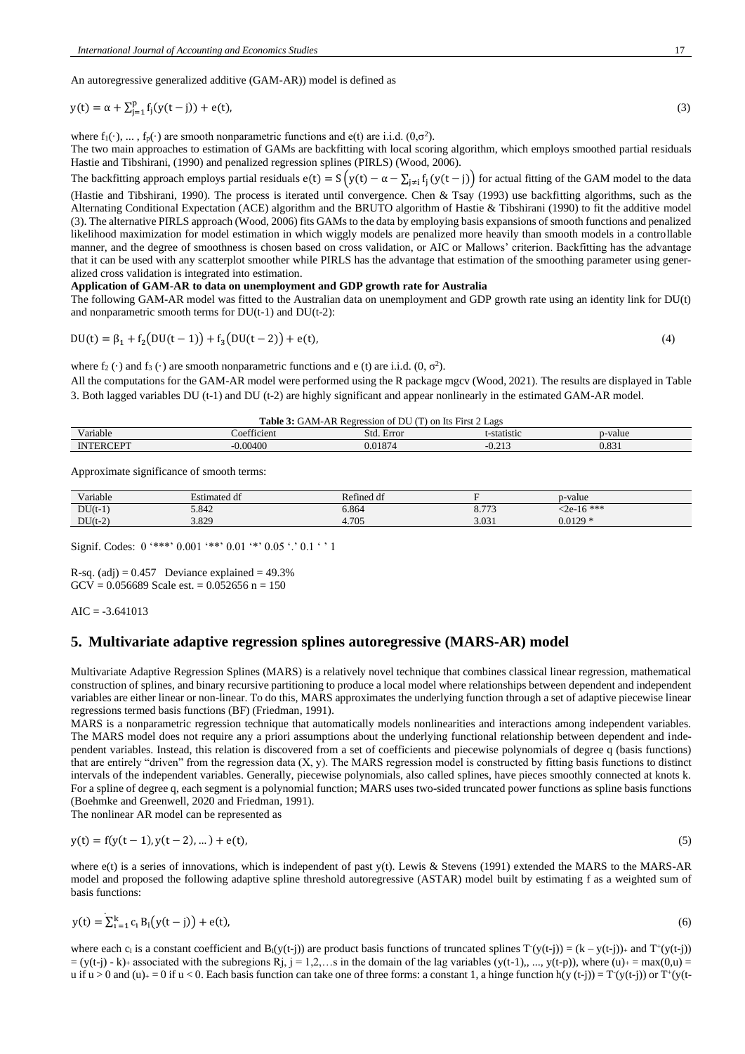An autoregressive generalized additive (GAM-AR)) model is defined as

$$
y(t) = \alpha + \sum_{j=1}^{p} f_j(y(t-j)) + e(t),
$$
\n(3)

where  $f_1(\cdot), \ldots, f_p(\cdot)$  are smooth nonparametric functions and e(t) are i.i.d.  $(0, \sigma^2)$ .

The two main approaches to estimation of GAMs are backfitting with local scoring algorithm, which employs smoothed partial residuals Hastie and Tibshirani, (1990) and penalized regression splines (PIRLS) (Wood, 2006).

The backfitting approach employs partial residuals  $e(t) = S(y(t) - \alpha - \sum_{j\neq i} f_j(y(t-j))$  for actual fitting of the GAM model to the data (Hastie and Tibshirani, 1990). The process is iterated until convergence. Chen & Tsay (1993) use backfitting algorithms, such as the Alternating Conditional Expectation (ACE) algorithm and the BRUTO algorithm of Hastie & Tibshirani (1990) to fit the additive model (3). The alternative PIRLS approach (Wood, 2006) fits GAMs to the data by employing basis expansions of smooth functions and penalized likelihood maximization for model estimation in which wiggly models are penalized more heavily than smooth models in a controllable manner, and the degree of smoothness is chosen based on cross validation, or AIC or Mallows' criterion. Backfitting has the advantage that it can be used with any scatterplot smoother while PIRLS has the advantage that estimation of the smoothing parameter using generalized cross validation is integrated into estimation.

#### **Application of GAM-AR to data on unemployment and GDP growth rate for Australia**

The following GAM-AR model was fitted to the Australian data on unemployment and GDP growth rate using an identity link for DU(t) and nonparametric smooth terms for  $DU(t-1)$  and  $DU(t-2)$ :

$$
DU(t) = \beta_1 + f_2(DU(t-1)) + f_3(DU(t-2)) + e(t),
$$
\n(4)

where  $f_2(\cdot)$  and  $f_3(\cdot)$  are smooth nonparametric functions and e (t) are i.i.d.  $(0, \sigma^2)$ .

All the computations for the GAM-AR model were performed using the R package mgcv (Wood, 2021). The results are displayed in Table 3. Both lagged variables DU (t-1) and DU (t-2) are highly significant and appear nonlinearly in the estimated GAM-AR model.

#### **Table 3:** GAM-AR Regression of DU (T) on Its First 2 Lags

| <b>TT</b><br>Variable | $\sim$ $\sim$<br>ticient<br>$\Omega$ <sup>++</sup><br>$\mathbf{A}$ | <b>T</b><br>Std.<br>$_{\rm H}$ rror<br>----- | -statistic                                            | -value     |
|-----------------------|--------------------------------------------------------------------|----------------------------------------------|-------------------------------------------------------|------------|
| $\sim$<br>N<br>к<br>  | 0.00400                                                            | 0.0107<br>. v<br>J.O<br>$\sim$               | $\sim$ $\sim$<br>- 1<br>$\mathbf{v} \cdot \mathbf{v}$ | ററ<br>U.OJ |

Approximate significance of smooth terms:

| T<br>$\cdot$ $\cdot$ $\cdot$<br>Variable | Estimated df | Refined df |                       | p-value          |
|------------------------------------------|--------------|------------|-----------------------|------------------|
| $DU(t-1)$                                | 5.842        | 3.864      | 1.772<br><u>0.77J</u> | $\leq 2e-16$ *** |
| $DU(t-2)$                                | 3.829        | 4.705      | 3.031                 | $0.0129 *$       |

Signif. Codes:  $0$  '\*\*\*'  $0.001$  '\*\*'  $0.01$  '\*'  $0.05$  '.'  $0.1$  ' ' 1

R-sq.  $(adi) = 0.457$  Deviance explained = 49.3%  $GCV = 0.056689$  Scale est. = 0.052656 n = 150

 $AIC = -3.641013$ 

## **5. Multivariate adaptive regression splines autoregressive (MARS-AR) model**

Multivariate Adaptive Regression Splines (MARS) is a relatively novel technique that combines classical linear regression, mathematical construction of splines, and binary recursive partitioning to produce a local model where relationships between dependent and independent variables are either linear or non-linear. To do this, MARS approximates the underlying function through a set of adaptive piecewise linear regressions termed basis functions (BF) (Friedman, 1991).

MARS is a nonparametric regression technique that automatically models nonlinearities and interactions among independent variables. The MARS model does not require any a priori assumptions about the underlying functional relationship between dependent and independent variables. Instead, this relation is discovered from a set of coefficients and piecewise polynomials of degree q (basis functions) that are entirely "driven" from the regression data  $(X, y)$ . The MARS regression model is constructed by fitting basis functions to distinct intervals of the independent variables. Generally, piecewise polynomials, also called splines, have pieces smoothly connected at knots k. For a spline of degree q, each segment is a polynomial function; MARS uses two-sided truncated power functions as spline basis functions (Boehmke and Greenwell, 2020 and Friedman, 1991).

The nonlinear AR model can be represented as

$$
y(t) = f(y(t-1), y(t-2), \dots) + e(t),
$$
\n(5)

where  $e(t)$  is a series of innovations, which is independent of past y(t). Lewis & Stevens (1991) extended the MARS to the MARS-AR model and proposed the following adaptive spline threshold autoregressive (ASTAR) model built by estimating f as a weighted sum of basis functions:

$$
y(t) = \sum_{i=1}^{k} c_i B_i (y(t - j)) + e(t),
$$
\n(6)

where each  $c_i$  is a constant coefficient and B<sub>i</sub>(y(t-j)) are product basis functions of truncated splines  $T(y(t-j)) = (k - y(t-j))$  and  $T'(y(t-j))$  $= (y(t-j) - k)$  associated with the subregions Rj, j = 1,2,...s in the domain of the lag variables  $(y(t-1), ..., y(t-p))$ , where  $(u)$  = max(0,u) = u if  $u > 0$  and  $(u)_{+} = 0$  if  $u < 0$ . Each basis function can take one of three forms: a constant 1, a hinge function h(y (t-j)) = T(y(t-j)) or T<sup>+</sup>(y(t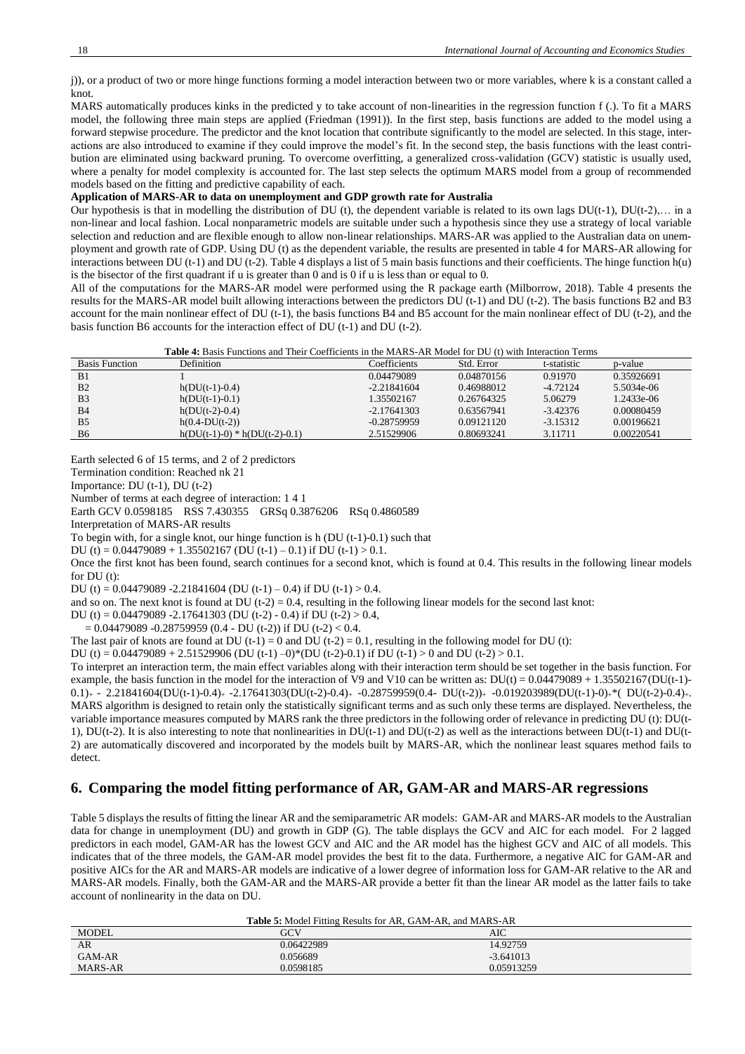j)), or a product of two or more hinge functions forming a model interaction between two or more variables, where k is a constant called a knot.

MARS automatically produces kinks in the predicted y to take account of non-linearities in the regression function f (.). To fit a MARS model, the following three main steps are applied (Friedman (1991)). In the first step, basis functions are added to the model using a forward stepwise procedure. The predictor and the knot location that contribute significantly to the model are selected. In this stage, interactions are also introduced to examine if they could improve the model's fit. In the second step, the basis functions with the least contribution are eliminated using backward pruning. To overcome overfitting, a generalized cross-validation (GCV) statistic is usually used, where a penalty for model complexity is accounted for. The last step selects the optimum MARS model from a group of recommended models based on the fitting and predictive capability of each.

## **Application of MARS-AR to data on unemployment and GDP growth rate for Australia**

Our hypothesis is that in modelling the distribution of DU (t), the dependent variable is related to its own lags DU(t-1), DU(t-2),… in a non-linear and local fashion. Local nonparametric models are suitable under such a hypothesis since they use a strategy of local variable selection and reduction and are flexible enough to allow non-linear relationships. MARS-AR was applied to the Australian data on unemployment and growth rate of GDP. Using DU (t) as the dependent variable, the results are presented in table 4 for MARS-AR allowing for interactions between DU (t-1) and DU (t-2). Table 4 displays a list of 5 main basis functions and their coefficients. The hinge function h(u) is the bisector of the first quadrant if u is greater than 0 and is 0 if u is less than or equal to 0.

All of the computations for the MARS-AR model were performed using the R package earth (Milborrow, 2018). Table 4 presents the results for the MARS-AR model built allowing interactions between the predictors DU (t-1) and DU (t-2). The basis functions B2 and B3 account for the main nonlinear effect of DU (t-1), the basis functions B4 and B5 account for the main nonlinear effect of DU (t-2), and the basis function B6 accounts for the interaction effect of DU (t-1) and DU (t-2).

|--|

| <b>Basis Function</b> | Definition                      | Coefficients  | Std. Error | t-statistic | p-value      |
|-----------------------|---------------------------------|---------------|------------|-------------|--------------|
| B <sub>1</sub>        |                                 | 0.04479089    | 0.04870156 | 0.91970     | 0.35926691   |
| B <sub>2</sub>        | $h(DU(t-1)-0.4)$                | $-2.21841604$ | 0.46988012 | $-4.72124$  | 5.5034e-06   |
| B <sub>3</sub>        | $h(DU(t-1)-0.1)$                | 1.35502167    | 0.26764325 | 5.06279     | $1.2433e-06$ |
| B4                    | $h(DU(t-2)-0.4)$                | $-2.17641303$ | 0.63567941 | $-3.42376$  | 0.00080459   |
| B <sub>5</sub>        | $h(0.4-DU(t-2))$                | $-0.28759959$ | 0.09121120 | $-3.15312$  | 0.00196621   |
| <b>B6</b>             | $h(DU(t-1)-0) * h(DU(t-2)-0.1)$ | 2.51529906    | 0.80693241 | 3.11711     | 0.00220541   |

Earth selected 6 of 15 terms, and 2 of 2 predictors

Termination condition: Reached nk 21

Importance: DU (t-1), DU (t-2)

Number of terms at each degree of interaction: 1 4 1

Earth GCV 0.0598185 RSS 7.430355 GRSq 0.3876206 RSq 0.4860589

Interpretation of MARS-AR results

To begin with, for a single knot, our hinge function is h (DU (t-1)-0.1) such that

DU (t) =  $0.04479089 + 1.35502167$  (DU (t-1) – 0.1) if DU (t-1) > 0.1.

Once the first knot has been found, search continues for a second knot, which is found at 0.4. This results in the following linear models for DU (t):

DU (t) =  $0.04479089 - 2.21841604$  (DU (t-1) – 0.4) if DU (t-1) > 0.4.

and so on. The next knot is found at DU  $(t-2) = 0.4$ , resulting in the following linear models for the second last knot:

DU (t) =  $0.04479089 - 2.17641303$  (DU (t-2) - 0.4) if DU (t-2) > 0.4,

 $= 0.04479089 - 0.28759959 (0.4 - DU (t-2))$  if DU (t-2) < 0.4.

The last pair of knots are found at DU  $(t-1) = 0$  and DU  $(t-2) = 0.1$ , resulting in the following model for DU  $(t)$ :

DU (t) =  $0.04479089 + 2.51529906$  (DU (t-1) –0)\*(DU (t-2)-0.1) if DU (t-1) > 0 and DU (t-2) > 0.1.

To interpret an interaction term, the main effect variables along with their interaction term should be set together in the basis function. For example, the basis function in the model for the interaction of V9 and V10 can be written as:  $DU(t) = 0.04479089 + 1.35502167(DU(t-1)-1.04996)$ 0.1)<sub>+</sub> - 2.21841604(DU(t-1)-0.4)<sub>+</sub> -2.17641303(DU(t-2)-0.4)<sub>+</sub> -0.28759959(0.4- DU(t-2))<sub>+</sub> -0.019203989(DU(t-1)-0)<sub>+</sub>\*( DU(t-2)-0.4)<sub>+</sub>. MARS algorithm is designed to retain only the statistically significant terms and as such only these terms are displayed. Nevertheless, the variable importance measures computed by MARS rank the three predictors in the following order of relevance in predicting DU (t): DU(t-1), DU(t-2). It is also interesting to note that nonlinearities in DU(t-1) and DU(t-2) as well as the interactions between DU(t-1) and DU(t-2) are automatically discovered and incorporated by the models built by MARS-AR, which the nonlinear least squares method fails to detect.

# **6. Comparing the model fitting performance of AR, GAM-AR and MARS-AR regressions**

Table 5 displays the results of fitting the linear AR and the semiparametric AR models: GAM-AR and MARS-AR models to the Australian data for change in unemployment (DU) and growth in GDP (G). The table displays the GCV and AIC for each model. For 2 lagged predictors in each model, GAM-AR has the lowest GCV and AIC and the AR model has the highest GCV and AIC of all models. This indicates that of the three models, the GAM-AR model provides the best fit to the data. Furthermore, a negative AIC for GAM-AR and positive AICs for the AR and MARS-AR models are indicative of a lower degree of information loss for GAM-AR relative to the AR and MARS-AR models. Finally, both the GAM-AR and the MARS-AR provide a better fit than the linear AR model as the latter fails to take account of nonlinearity in the data on DU.

**Table 5:** Model Fitting Results for AR, GAM-AR, and MARS-AR

| <b>MODEL</b> | GCV        | AIC         |
|--------------|------------|-------------|
| AR           | 0.06422989 | 14.92759    |
| GAM-AR       | 0.056689   | $-3.641013$ |
| MARS-AR      | 0.0598185  | 0.05913259  |